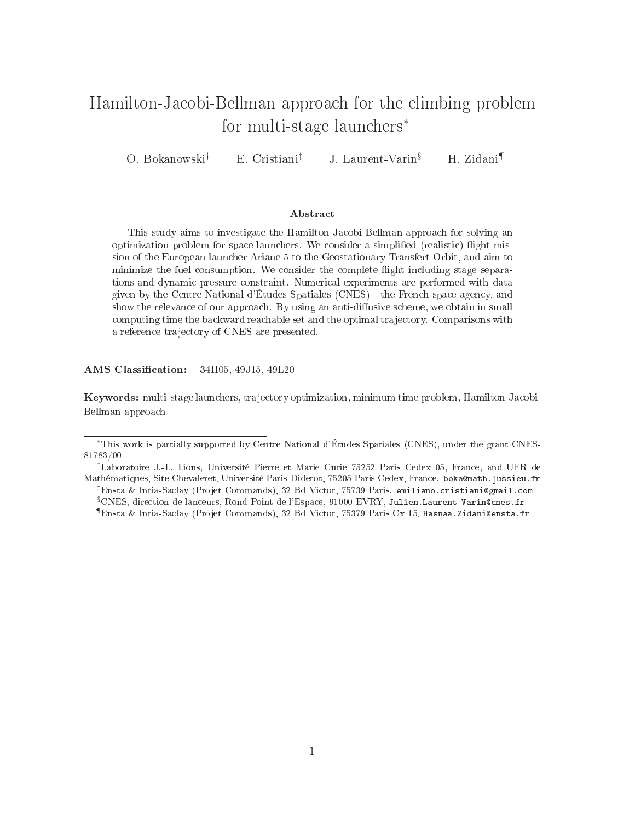# Hamilton-Ja
obi-Bellman approa
h for the limbing problem for multi-stage laun
hers∗

O. Bokanowski† E. Cristiani‡ J. Laurent-Varin§ H. Zidani¶

#### Abstra
t

This study aims to investigate the Hamilton-Ja
obi-Bellman approa
h for solving an optimization problem for space launchers. We consider a simplified (realistic) flight mission of the European laun
her Ariane 5 to the Geostationary Transfert Orbit, and aim to minimize the fuel consumption. We consider the complete flight including stage separations and dynami pressure onstraint. Numeri
al experiments are performed with data given by the Centre National d'Études Spatiales (CNES) - the Fren
h spa
e agen
y, and show the relevance of our approach. By using an anti-diffusive scheme, we obtain in small computing time the backward reachable set and the optimal trajectory. Comparisons with a reference trajectory of CNES are presented.

AMS Classification: 34H05, 49J15, 49L20

Keywords: multi-stage laun
hers, tra je
tory optimization, minimum time problem, Hamilton-Ja
obi-Bellman approa
h

<sup>∗</sup>This work is partially supported by Centre National <sup>d</sup>'Études Spatiales (CNES), under the grant CNES-. . . . . . .

<sup>†</sup>Laboratoire J.-L. Lions, Université Pierre et Marie Curie <sup>75252</sup> Paris Cedex 05, Fran
e, and UFR de Mathématiques, Site Chevaleret, Université Paris-Diderot, <sup>75205</sup> Paris Cedex, Fran
e. bokamath.jussieu.fr  $^\ddag$ Ensta & Inria-Saclay (Projet Commands), 32 Bd Victor, 75739 Paris. emiliano.cristiani@gmail.com  $^\circ\text{CNES}$ , direction de lanceurs, Rond Point de l'Espace, 91000 EVRY, Julien.Laurent-Varin@cnes.fr

<sup>¶</sup>Ensta & Inria-Sa
lay (Pro jet Commands), <sup>32</sup> Bd Vi
tor, <sup>75379</sup> Paris Cx 15, Hasnaa.Zidaniensta.fr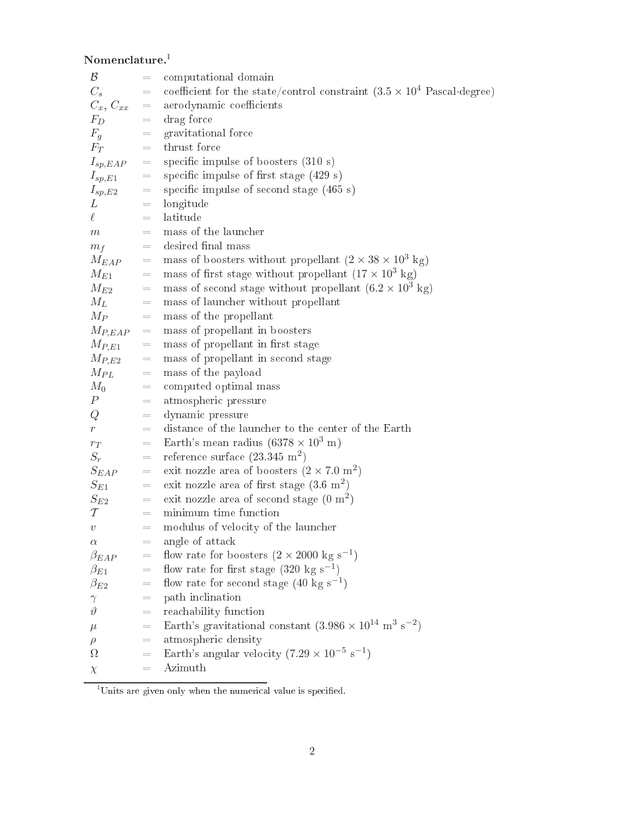$\bf N$ omenclature. $^1$ 

| $\mathcal B$  | $\equiv$                                                                                                                                                                                                                                                                                                                                                                                                                                                                  | computational domain                                                                   |  |  |  |  |
|---------------|---------------------------------------------------------------------------------------------------------------------------------------------------------------------------------------------------------------------------------------------------------------------------------------------------------------------------------------------------------------------------------------------------------------------------------------------------------------------------|----------------------------------------------------------------------------------------|--|--|--|--|
| $C_s$         | $\equiv$                                                                                                                                                                                                                                                                                                                                                                                                                                                                  | coefficient for the state/control constraint $(3.5 \times 10^4 \text{ Pascal-degree})$ |  |  |  |  |
| $C_x, C_{xx}$ | $\equiv$                                                                                                                                                                                                                                                                                                                                                                                                                                                                  | aerodynamic coefficients                                                               |  |  |  |  |
| $F_D$         | $\equiv$                                                                                                                                                                                                                                                                                                                                                                                                                                                                  | drag force                                                                             |  |  |  |  |
| $F_g$         | $=$                                                                                                                                                                                                                                                                                                                                                                                                                                                                       | gravitational force                                                                    |  |  |  |  |
| $F_T$         | $=$                                                                                                                                                                                                                                                                                                                                                                                                                                                                       | thrust force                                                                           |  |  |  |  |
| $I_{sp, EAP}$ | $\hspace*{0.4em} = \hspace*{0.4em}$                                                                                                                                                                                                                                                                                                                                                                                                                                       | specific impulse of boosters $(310 s)$                                                 |  |  |  |  |
| $I_{sp,E1}$   | $\hspace{1.6cm} = \hspace{1.6cm}$                                                                                                                                                                                                                                                                                                                                                                                                                                         | specific impulse of first stage $(429 s)$                                              |  |  |  |  |
| $I_{sp,E2}$   | $\, = \,$                                                                                                                                                                                                                                                                                                                                                                                                                                                                 | specific impulse of second stage $(465 s)$                                             |  |  |  |  |
| L             | $\equiv$                                                                                                                                                                                                                                                                                                                                                                                                                                                                  | longitude                                                                              |  |  |  |  |
| $\ell^-$      | $\qquad \qquad =% \begin{cases} \sum_{i=1}^{n} \left\vert \frac{1}{n} \right\vert^{n} & \text{if } n = 1,2. \end{cases} \qquad \qquad \qquad \sum_{i=1}^{n} \left\vert \frac{1}{n} \right\vert^{n} \leq \left\vert \frac{1}{n} \right\vert^{n} \leq \left\vert \frac{1}{n} \right\vert^{n} \leq \left\vert \frac{1}{n} \right\vert^{n} \leq \left\vert \frac{1}{n} \right\vert^{n} \leq \left\vert \frac{1}{n} \right\vert^{n} \leq \left\vert \frac{1}{n} \right\vert^{$ | latitude                                                                               |  |  |  |  |
| m             | $\equiv$ .                                                                                                                                                                                                                                                                                                                                                                                                                                                                | mass of the launcher                                                                   |  |  |  |  |
| $m_f$         | $=$                                                                                                                                                                                                                                                                                                                                                                                                                                                                       | desired final mass                                                                     |  |  |  |  |
| $M_{EAP}$     | $=$                                                                                                                                                                                                                                                                                                                                                                                                                                                                       | mass of boosters without propellant $(2 \times 38 \times 10^3 \text{ kg})$             |  |  |  |  |
| $M_{E1}$      | $=$                                                                                                                                                                                                                                                                                                                                                                                                                                                                       | mass of first stage without propellant $(17 \times 10^3 \text{ kg})$                   |  |  |  |  |
| $M_{E2}$      | $\equiv$                                                                                                                                                                                                                                                                                                                                                                                                                                                                  | mass of second stage without propellant $(6.2 \times 10^3 \text{ kg})$                 |  |  |  |  |
| $M_L$         | $=$                                                                                                                                                                                                                                                                                                                                                                                                                                                                       | mass of launcher without propellant                                                    |  |  |  |  |
| $M_P$         | $\equiv$                                                                                                                                                                                                                                                                                                                                                                                                                                                                  | mass of the propellant                                                                 |  |  |  |  |
| $M_{P, EAP}$  | $=$                                                                                                                                                                                                                                                                                                                                                                                                                                                                       | mass of propellant in boosters                                                         |  |  |  |  |
| $M_{P,E1}$    | $=$ .                                                                                                                                                                                                                                                                                                                                                                                                                                                                     | mass of propellant in first stage                                                      |  |  |  |  |
| $M_{P,E2}$    | $\equiv$                                                                                                                                                                                                                                                                                                                                                                                                                                                                  | mass of propellant in second stage                                                     |  |  |  |  |
| $M_{PL}$      | $\hspace{1.6cm} = \hspace{1.6cm}$                                                                                                                                                                                                                                                                                                                                                                                                                                         | mass of the payload                                                                    |  |  |  |  |
| $M_0$         | $\equiv$                                                                                                                                                                                                                                                                                                                                                                                                                                                                  | computed optimal mass                                                                  |  |  |  |  |
| $\, P \,$     | $\equiv$                                                                                                                                                                                                                                                                                                                                                                                                                                                                  | atmospheric pressure                                                                   |  |  |  |  |
| Q             | $=$                                                                                                                                                                                                                                                                                                                                                                                                                                                                       | dynamic pressure                                                                       |  |  |  |  |
| $r_{-}$       | $\qquad \qquad =\qquad$                                                                                                                                                                                                                                                                                                                                                                                                                                                   | distance of the launcher to the center of the Earth                                    |  |  |  |  |
| $r_T$         | $\equiv$                                                                                                                                                                                                                                                                                                                                                                                                                                                                  | Earth's mean radius $(6378 \times 10^3 \text{ m})$                                     |  |  |  |  |
| $S_r$         | $=$                                                                                                                                                                                                                                                                                                                                                                                                                                                                       | reference surface $(23.345 \text{ m}^2)$                                               |  |  |  |  |
| $S_{EAP}$     | $=$                                                                                                                                                                                                                                                                                                                                                                                                                                                                       | exit nozzle area of boosters $(2 \times 7.0 \text{ m}^2)$                              |  |  |  |  |
| $S_{E1}$      | $=$                                                                                                                                                                                                                                                                                                                                                                                                                                                                       | exit nozzle area of first stage $(3.6 \text{ m}^2)$                                    |  |  |  |  |
| $S_{E2}$      | $=$                                                                                                                                                                                                                                                                                                                                                                                                                                                                       | exit nozzle area of second stage $(0 \text{ m}^2)$                                     |  |  |  |  |
| $\mathcal T$  | $\qquad \qquad =\qquad$                                                                                                                                                                                                                                                                                                                                                                                                                                                   | minimum time function                                                                  |  |  |  |  |
| $\upsilon$    | $=$                                                                                                                                                                                                                                                                                                                                                                                                                                                                       | modulus of velocity of the launcher                                                    |  |  |  |  |
| $\alpha$      | =                                                                                                                                                                                                                                                                                                                                                                                                                                                                         | angle of attack                                                                        |  |  |  |  |
| $\beta_{EAP}$ | $=$                                                                                                                                                                                                                                                                                                                                                                                                                                                                       | flow rate for boosters $(2 \times 2000 \text{ kg s}^{-1})$                             |  |  |  |  |
| $\beta_{E1}$  | =                                                                                                                                                                                                                                                                                                                                                                                                                                                                         | flow rate for first stage $(320 \text{ kg s}^{-1})$                                    |  |  |  |  |
| $\beta_{E2}$  | $=$                                                                                                                                                                                                                                                                                                                                                                                                                                                                       | flow rate for second stage $(40 \text{ kg s}^{-1})$                                    |  |  |  |  |
| $\gamma$      | $=$                                                                                                                                                                                                                                                                                                                                                                                                                                                                       | path inclination                                                                       |  |  |  |  |
| $\vartheta$   | III.                                                                                                                                                                                                                                                                                                                                                                                                                                                                      | reachability function                                                                  |  |  |  |  |
| $\mu$         | $=$                                                                                                                                                                                                                                                                                                                                                                                                                                                                       | Earth's gravitational constant $(3.986 \times 10^{14} \text{ m}^3 \text{ s}^{-2})$     |  |  |  |  |
| $\rho$        | $=$                                                                                                                                                                                                                                                                                                                                                                                                                                                                       | atmospheric density                                                                    |  |  |  |  |
| Ω             | $=$                                                                                                                                                                                                                                                                                                                                                                                                                                                                       | Earth's angular velocity $(7.29 \times 10^{-5} \text{ s}^{-1})$                        |  |  |  |  |
| $\chi$        | $\equiv$                                                                                                                                                                                                                                                                                                                                                                                                                                                                  | Azimuth                                                                                |  |  |  |  |

Units are given only when the numerical value is specified.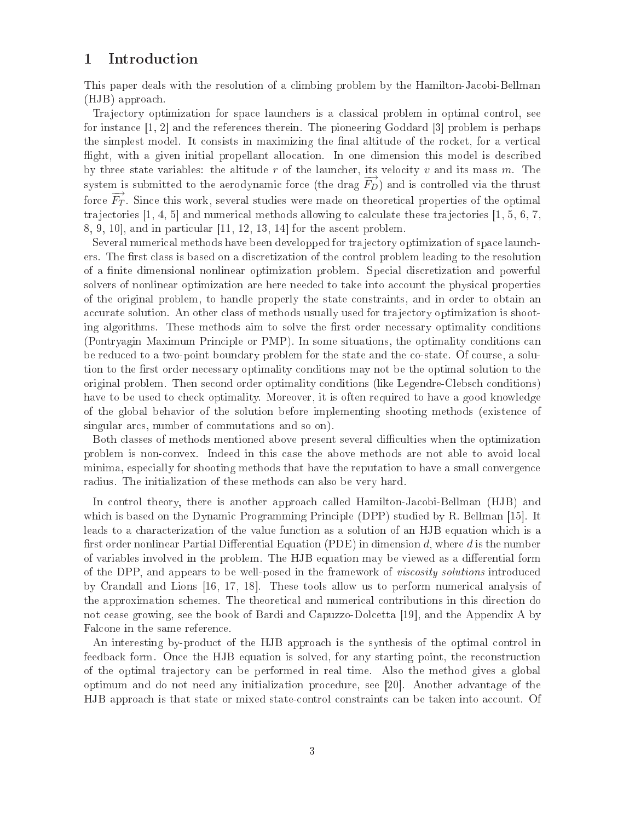# <sup>1</sup> Introdu
tion

This paper deals with the resolution of a climbing problem by the Hamilton-Jacobi-Bellman (HJB) approa
h.

Tra je
tory optimization for spa
e laun
hers is a lassi
al problem in optimal ontrol, see for instance [1, 2] and the references therein. The pioneering Goddard [3] problem is perhaps the simplest model. It consists in maximizing the final altitude of the rocket, for a vertical flight, with a given initial propellant allocation. In one dimension this model is described by three state variables: the altitude  $r$  of the launcher, its velocity  $v$  and its mass  $m$ . The system is submitted to the aerodynamic force (the drag  $\overrightarrow{F_D}$ ) and is controlled via the thrust force  $\overrightarrow{F_T}$ . Since this work, several studies were made on theoretical properties of the optimal trajectories  $[1, 4, 5]$  and numerical methods allowing to calculate these trajectories  $[1, 5, 6, 7]$  $8, 9, 10$ , and in particular  $[11, 12, 13, 14]$  for the ascent problem.

Several numerical methods have been developped for trajectory optimization of space launchers. The first class is based on a discretization of the control problem leading to the resolution of a nite dimensional nonlinear optimization problem. Spe
ial dis
retization and powerful solvers of nonlinear optimization are here needed to take into account the physical properties of the original problem, to handle properly the state onstraints, and in order to obtain an accurate solution. An other class of methods usually used for trajectory optimization is shooting algorithms. These methods aim to solve the first order necessary optimality conditions (Pontryagin Maximum Principle or PMP). In some situations, the optimality conditions can be reduced to a two-point boundary problem for the state and the co-state. Of course, a solution to the first order necessary optimality conditions may not be the optimal solution to the original problem. Then se
ond order optimality onditions (like Legendre-Clebs
h onditions) have to be used to check optimality. Moreover, it is often required to have a good knowledge of the global behavior of the solution before implementing shooting methods (existen
e of singular arcs, number of commutations and so on).

Both classes of methods mentioned above present several difficulties when the optimization problem is non-convex. Indeed in this case the above methods are not able to avoid local minima, especially for shooting methods that have the reputation to have a small convergence radius. The initialization of these methods an also be very hard.

In control theory, there is another approach called Hamilton-Jacobi-Bellman (HJB) and which is based on the Dynamic Programming Principle (DPP) studied by R. Bellman [15]. It leads to a characterization of the value function as a solution of an HJB equation which is a first order nonlinear Partial Differential Equation (PDE) in dimension d, where d is the number of variables involved in the problem. The HJB equation may be viewed as a differential form of the DPP, and appears to be well-posed in the framework of *viscosity solutions* introduced by Crandall and Lions  $[16, 17, 18]$ . These tools allow us to perform numerical analysis of the approximation s
hemes. The theoreti
al and numeri
al ontributions in this dire
tion do not cease growing, see the book of Bardi and Capuzzo-Dolcetta [19], and the Appendix A by Fal
one in the same referen
e.

An interesting by-produ
t of the HJB approa
h is the synthesis of the optimal ontrol in feedback form. Once the HJB equation is solved, for any starting point, the reconstruction of the optimal tra je
tory an be performed in real time. Also the method gives a global optimum and do not need any initialization procedure, see [20]. Another advantage of the HJB approach is that state or mixed state-control constraints can be taken into account. Of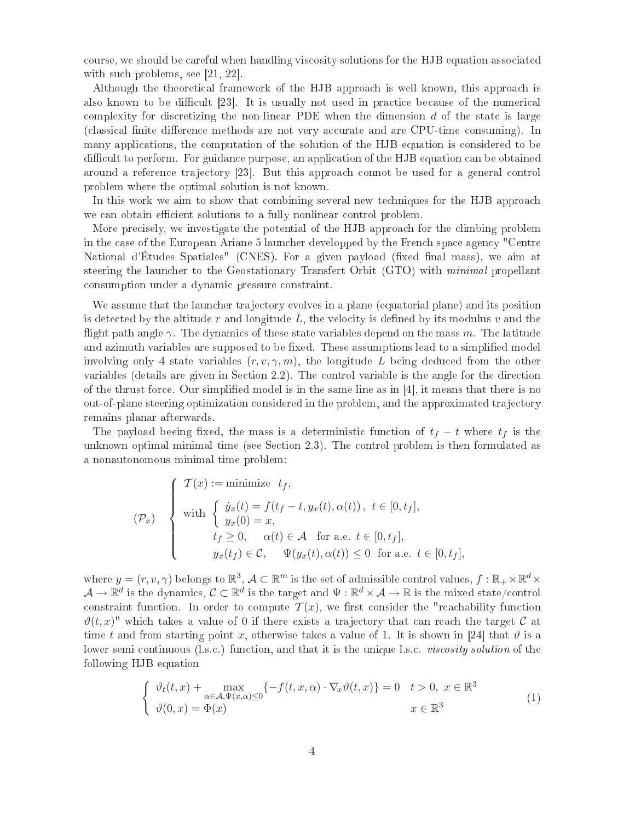course, we should be careful when handling viscosity solutions for the HJB equation associated with such problems, see  $[21, 22]$ .

Although the theoretical framework of the HJB approach is well known, this approach is also known to be difficult [23]. It is usually not used in practice because of the numerical complexity for discretizing the non-linear PDE when the dimension  $d$  of the state is large (classical finite difference methods are not very accurate and are CPU-time consuming). In many appli
ations, the omputation of the solution of the HJB equation is onsidered to be difficult to perform. For guidance purpose, an application of the HJB equation can be obtained around a reference trajectory [23]. But this approach connot be used for a general control problem where the optimal solution is not known.

In this work we aim to show that combining several new techniques for the HJB approach we can obtain efficient solutions to a fully nonlinear control problem.

More precisely, we investigate the potential of the HJB approach for the climbing problem in the ase of the European Ariane 5 laun
her developped by the Fren
h spa
e agen
y "Centre National d'Études Spatiales" (CNES). For a given payload (fixed final mass), we aim at steering the launcher to the Geostationary Transfert Orbit (GTO) with *minimal* propellant consumption under a dynamic pressure constraint.

We assume that the launcher trajectory evolves in a plane (equatorial plane) and its position is detected by the altitude  $r$  and longitude  $L$ , the velocity is defined by its modulus  $v$  and the flight path angle  $\gamma$ . The dynamics of these state variables depend on the mass m. The latitude and azimuth variables are supposed to be fixed. These assumptions lead to a simplified model involving only 4 state variables  $(r, v, \gamma, m)$ , the longitude L being deduced from the other variables (details are given in Section 2.2). The control variable is the angle for the direction of the thrust force. Our simplified model is in the same line as in  $[4]$ , it means that there is no out-of-plane steering optimization onsidered in the problem, and the approximated tra je
tory remains planar afterwards.

The payload beeing fixed, the mass is a deterministic function of  $t_f - t$  where  $t_f$  is the unknown optimal minimal time (see Section 2.3). The control problem is then formulated as a nonautonomous minimal time problem:

$$
(\mathcal{P}_x) \quad \begin{cases} \mathcal{T}(x) := \text{minimize } t_f, \\ \text{with } \begin{cases} \dot{y}_x(t) = f(t_f - t, y_x(t), \alpha(t)), \ t \in [0, t_f], \\ y_x(0) = x, \\ \qquad t_f \ge 0, \quad \alpha(t) \in \mathcal{A} \quad \text{for a.e. } t \in [0, t_f], \\ y_x(t_f) \in \mathcal{C}, \quad \Psi(y_x(t), \alpha(t)) \le 0 \quad \text{for a.e. } t \in [0, t_f], \end{cases} \end{cases}
$$

where  $y=(r,v,\gamma)$  belongs to  $\mathbb{R}^3$ ,  $\mathcal{A}\subset\mathbb{R}^m$  is the set of admissible control values,  $f:\mathbb{R}_+\times\mathbb{R}^d\times\mathbb{R}^d$  $\mathcal{A}\to\mathbb{R}^d$  is the dynamics,  $\mathcal{C}\subset\mathbb{R}^d$  is the target and  $\Psi:\mathbb{R}^d\times\mathcal{A}\to\mathbb{R}$  is the mixed state/control constraint function. In order to compute  $\mathcal{T}(x)$ , we first consider the "reachability function  $\vartheta(t,x)$ " which takes a value of 0 if there exists a trajectory that can reach the target C at time t and from starting point x, otherwise takes a value of 1. It is shown in [24] that  $\vartheta$  is a lower semi continuous (l.s.c.) function, and that it is the unique l.s.c. *viscosity solution* of the following HJB equation

$$
\begin{cases} \n\vartheta_t(t,x) + \max_{\alpha \in \mathcal{A}, \Psi(x,\alpha) \le 0} \{-f(t,x,\alpha) \cdot \nabla_x \vartheta(t,x)\} = 0 & t > 0, \ x \in \mathbb{R}^3 \\ \n\vartheta(0,x) = \Phi(x) & x \in \mathbb{R}^3 \n\end{cases} \tag{1}
$$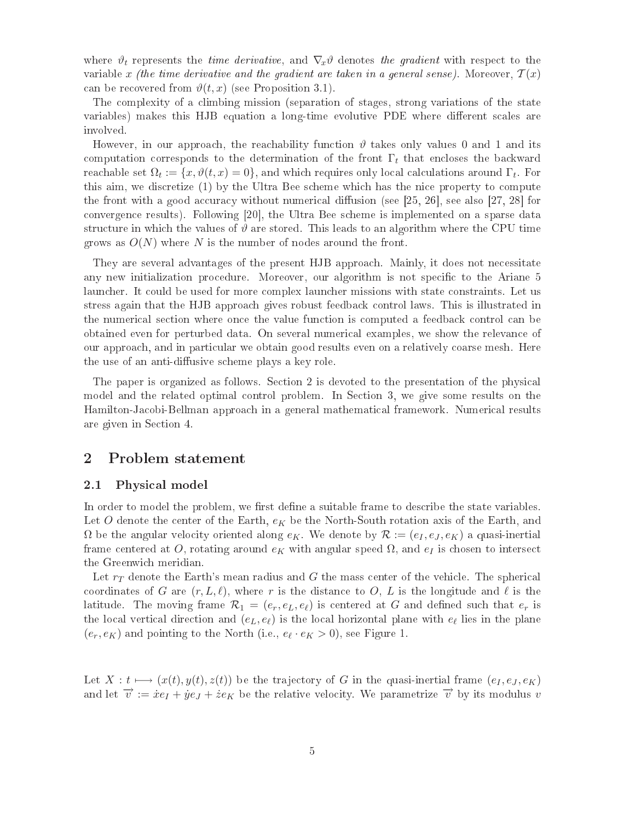where  $\vartheta_t$  represents the *time derivative*, and  $\nabla_x \vartheta$  denotes the gradient with respect to the variable x (the time derivative and the gradient are taken in a general sense). Moreover,  $\mathcal{T}(x)$ can be recovered from  $\vartheta(t, x)$  (see Proposition 3.1).

The omplexity of a limbing mission (separation of stages, strong variations of the state variables) makes this HJB equation a long-time evolutive PDE where different scales are involved.

However, in our approach, the reachability function  $\vartheta$  takes only values 0 and 1 and its computation corresponds to the determination of the front  $\Gamma_t$  that encloses the backward reachable set  $\Omega_t := \{x, \vartheta(t,x) = 0\}$ , and which requires only local calculations around  $\Gamma_t$ . For this aim, we discretize (1) by the Ultra Bee scheme which has the nice property to compute the front with a good accuracy without numerical diffusion (see [25, 26], see also [27, 28] for convergence results). Following [20], the Ultra Bee scheme is implemented on a sparse data structure in which the values of  $\vartheta$  are stored. This leads to an algorithm where the CPU time grows as  $O(N)$  where N is the number of nodes around the front.

They are several advantages of the present HJB approach. Mainly, it does not necessitate any new initialization procedure. Moreover, our algorithm is not specific to the Ariane 5 launcher. It could be used for more complex launcher missions with state constraints. Let us stress again that the HJB approa
h gives robust feedba
k ontrol laws. This is illustrated in the numeri
al se
tion where on
e the value fun
tion is omputed a feedba
k ontrol an be obtained even for perturbed data. On several numeri
al examples, we show the relevan
e of our approa
h, and in parti
ular we obtain good results even on a relatively oarse mesh. Here the use of an anti-diffusive scheme plays a key role.

The paper is organized as follows. Section 2 is devoted to the presentation of the physical model and the related optimal control problem. In Section 3, we give some results on the Hamilton-Jacobi-Bellman approach in a general mathematical framework. Numerical results are given in Se
tion 4.

# <sup>2</sup> Problem statement

## 2.1 Physi
al model

In order to model the problem, we first define a suitable frame to describe the state variables. Let O denote the center of the Earth,  $e_K$  be the North-South rotation axis of the Earth, and  $\Omega$  be the angular velocity oriented along  $e_K$ . We denote by  $\mathcal{R} := (e_I, e_J, e_K)$  a quasi-inertial frame centered at O, rotating around  $e_K$  with angular speed  $\Omega$ , and  $e_I$  is chosen to intersect the Greenwi
h meridian.

Let  $r_T$  denote the Earth's mean radius and G the mass center of the vehicle. The spherical coordinates of G are  $(r, L, \ell)$ , where r is the distance to O, L is the longitude and  $\ell$  is the latitude. The moving frame  $\mathcal{R}_1 = (e_r, e_L, e_{\ell})$  is centered at G and defined such that  $e_r$  is the local vertical direction and  $(e_L, e_{\ell})$  is the local horizontal plane with  $e_{\ell}$  lies in the plane  $(e_r, e_K)$  and pointing to the North (i.e.,  $e_{\ell} \cdot e_K > 0$ ), see Figure 1.

Let  $X: t \longmapsto (x(t), y(t), z(t))$  be the trajectory of G in the quasi-inertial frame  $(e_I, e_J, e_K)$ and let  $\vec{v} := \dot{x}e_I + \dot{y}e_J + \dot{z}e_K$  be the relative velocity. We parametrize  $\vec{v}$  by its modulus v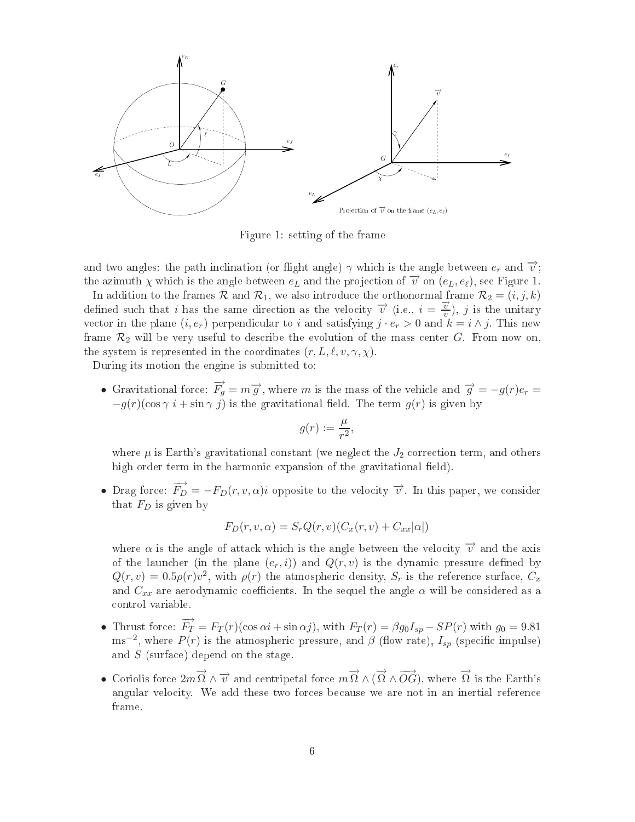

Figure 1: setting of the frame

and two angles: the path inclination (or flight angle)  $\gamma$  which is the angle between  $e_r$  and  $\vec{v}$ ; the azimuth  $\chi$  which is the angle between  $e_L$  and the projection of  $\vec{v}$  on  $(e_L, e_{\ell})$ , see Figure 1.

In addition to the frames R and  $\mathcal{R}_1$ , we also introduce the orthonormal frame  $\mathcal{R}_2 = (i, j, k)$ defined such that i has the same direction as the velocity  $\vec{v}$  (i.e.,  $i = \frac{\vec{v}}{v}$  $\frac{v}{v}$ , *j* is the unitary vector in the plane  $(i, e_r)$  perpendicular to i and satisfying  $j \cdot e_r > 0$  and  $k = i \wedge j$ . This new frame  $\mathcal{R}_2$  will be very useful to describe the evolution of the mass center G. From now on. the system is represented in the coordinates  $(r, L, \ell, v, \gamma, \chi)$ .

During its motion the engine is submitted to:

• Gravitational force:  $\overrightarrow{F}_g = m \overrightarrow{g}$ , where m is the mass of the vehicle and  $\overrightarrow{g} = -g(r)e_r =$  $-g(r)(\cos \gamma i + \sin \gamma j)$  is the gravitational field. The term  $g(r)$  is given by

$$
g(r):=\frac{\mu}{r^2},
$$

where  $\mu$  is Earth's gravitational constant (we neglect the  $J_2$  correction term, and others high order term in the harmonic expansion of the gravitational field).

• Drag force:  $\overrightarrow{F}_D = -F_D(r, v, \alpha)i$  opposite to the velocity  $\overrightarrow{v}$ . In this paper, we consider that  $F_D$  is given by

$$
F_D(r, v, \alpha) = S_r Q(r, v) (C_x(r, v) + C_{xx}|\alpha|)
$$

where  $\alpha$  is the angle of attack which is the angle between the velocity  $\vec{v}$  and the axis of the launcher (in the plane  $(e_r, i)$ ) and  $Q(r, v)$  is the dynamic pressure defined by  $Q(r, v) = 0.5 \rho(r) v^2$ , with  $\rho(r)$  the atmospheric density,  $S_r$  is the reference surface,  $C_x$ and  $C_{xx}$  are aerodynamic coefficients. In the sequel the angle  $\alpha$  will be considered as a ontrol variable.

- Thrust force:  $\overrightarrow{F}_T = F_T(r)(\cos \alpha i + \sin \alpha j)$ , with  $F_T(r) = \beta g_0 I_{sp} SP(r)$  with  $g_0 = 9.81$ ms<sup>-2</sup>, where  $P(r)$  is the atmospheric pressure, and  $\beta$  (flow rate),  $I_{sp}$  (specific impulse) and S (surfa
e) depend on the stage.
- Coriolis force  $2m\overrightarrow{\Omega} \wedge \overrightarrow{v}$  and centripetal force  $m\overrightarrow{\Omega} \wedge (\overrightarrow{\Omega} \wedge \overrightarrow{OG})$ , where  $\overrightarrow{\Omega}$  is the Earth's angular velocity. We add these two forces because we are not in an inertial reference frame.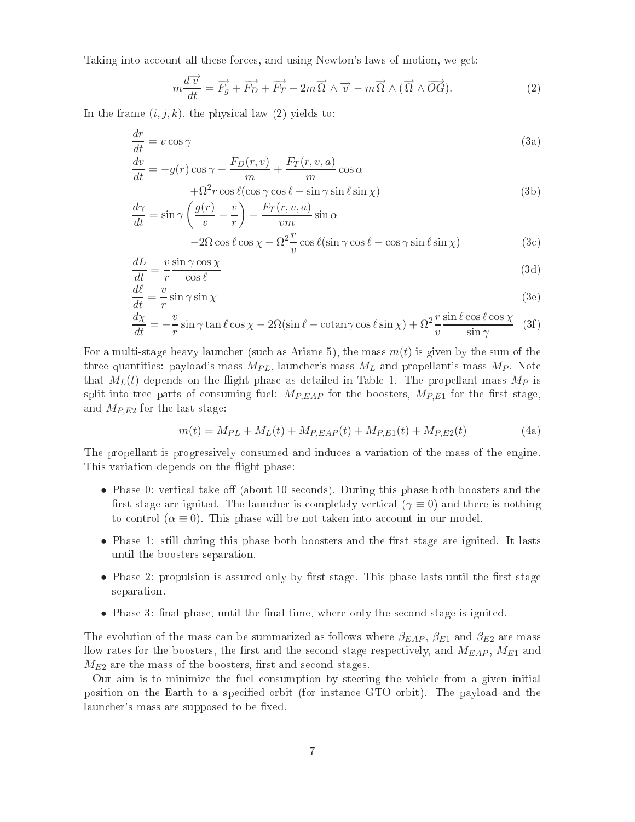Taking into account all these forces, and using Newton's laws of motion, we get:

$$
m\frac{d\overrightarrow{v}}{dt} = \overrightarrow{F}_g + \overrightarrow{F}_D + \overrightarrow{F}_T - 2m\overrightarrow{\Omega} \wedge \overrightarrow{v} - m\overrightarrow{\Omega} \wedge (\overrightarrow{\Omega} \wedge \overrightarrow{OG}).
$$
 (2)

In the frame  $(i, j, k)$ , the physical law (2) yields to:

$$
\frac{dr}{dt} = v \cos \gamma
$$
\n
$$
dv \qquad F_D(r, v) \qquad F_T(r, v, a) \qquad (3a)
$$

$$
\frac{dv}{dt} = -g(r)\cos\gamma - \frac{F_D(r, v)}{m} + \frac{F_T(r, v, a)}{m}\cos\alpha + \Omega^2 r \cos\ell(\cos\gamma\cos\ell - \sin\gamma\sin\ell\sin\chi)
$$
(3b)

$$
\frac{d\gamma}{dt} = \sin\gamma \left(\frac{g(r)}{v} - \frac{v}{r}\right) - \frac{F_T(r, v, a)}{vm} \sin\alpha \n-2\Omega \cos\ell \cos\chi - \Omega^2 \frac{r}{v} \cos\ell(\sin\gamma \cos\ell - \cos\gamma \sin\ell \sin\chi)
$$
\n(3c)

$$
\frac{dL}{dt} = \frac{v \sin \gamma \cos \chi}{r \cos \ell} \tag{3d}
$$

$$
\frac{d\ell}{dt} = \frac{v}{r} \sin \gamma \sin \chi \tag{3e}
$$

$$
\frac{d\chi}{dt} = -\frac{v}{r}\sin\gamma\tan\ell\cos\chi - 2\Omega(\sin\ell - \cot\eta\cos\ell\sin\chi) + \Omega^2\frac{r}{v}\frac{\sin\ell\cos\ell\cos\chi}{\sin\gamma} \tag{3f}
$$

For a multi-stage heavy launcher (such as Ariane 5), the mass  $m(t)$  is given by the sum of the three quantities: payload's mass  $M_{PL}$ , launcher's mass  $M_L$  and propellant's mass  $M_P$ . Note that  $M_L(t)$  depends on the flight phase as detailed in Table 1. The propellant mass  $M_P$  is split into tree parts of consuming fuel:  $M_{P, EAP}$  for the boosters,  $M_{P, E1}$  for the first stage, and  $M_{P,E2}$  for the last stage:

$$
m(t) = M_{PL} + M_L(t) + M_{P, EAP}(t) + M_{P, E1}(t) + M_{P, E2}(t)
$$
\n(4a)

The propellant is progressively onsumed and indu
es a variation of the mass of the engine. This variation depends on the flight phase:

- Phase 0: vertical take of (about 10 seconds). During this phase both boosters and the first stage are ignited. The launcher is completely vertical  $(\gamma \equiv 0)$  and there is nothing to control ( $\alpha \equiv 0$ ). This phase will be not taken into account in our model.
- Phase 1: still during this phase both boosters and the first stage are ignited. It lasts until the boosters separation.
- Phase 2: propulsion is assured only by first stage. This phase lasts until the first stage separation.
- Phase 3: final phase, until the final time, where only the second stage is ignited.

The evolution of the mass can be summarized as follows where  $\beta_{EAP}$ ,  $\beta_{E1}$  and  $\beta_{E2}$  are mass flow rates for the boosters, the first and the second stage respectively, and  $M_{EAP}$ ,  $M_{E1}$  and  $M_{E2}$  are the mass of the boosters, first and second stages.

Our aim is to minimize the fuel onsumption by steering the vehi
le from a given initial position on the Earth to a specified orbit (for instance GTO orbit). The payload and the launcher's mass are supposed to be fixed.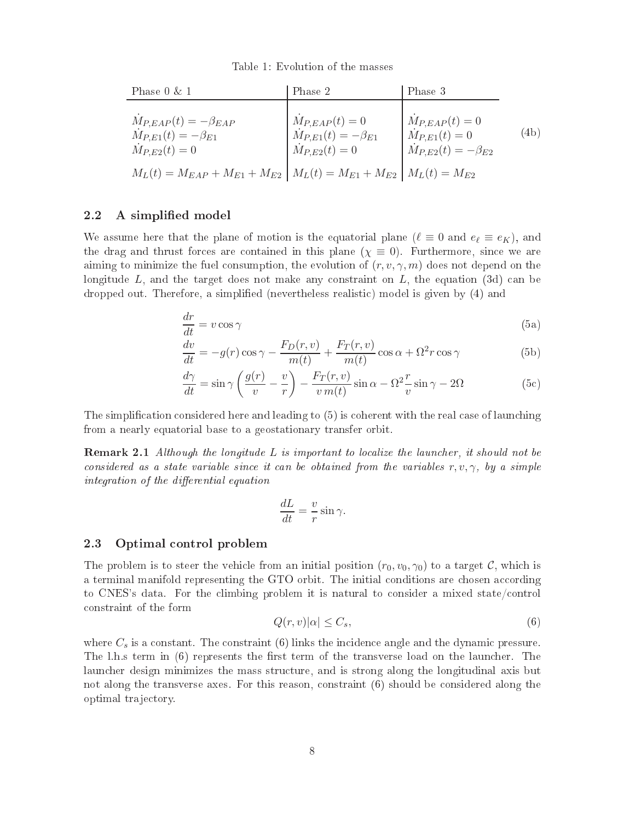Table 1: Evolution of the masses

| Phase $0 \& 1$                                                                                 | Phase 2                                                                       | Phase 3                                                                       |           |
|------------------------------------------------------------------------------------------------|-------------------------------------------------------------------------------|-------------------------------------------------------------------------------|-----------|
| $M_{P, EAP}(t) = -\beta_{EAP}$<br>$\dot{M}_{P,E1}(t) = -\beta_{E1}$<br>$\dot{M}_{P,E2}(t) = 0$ | $M_{P, EAP}(t) = 0$<br>$M_{P,E1}(t) = -\beta_{E1}$<br>$\dot{M}_{P,E2}(t) = 0$ | $M_{P, EAP}(t) = 0$<br>$M_{P,E1}(t) = 0$<br>$\dot{M}_{P,E2}(t) = -\beta_{E2}$ | $^{(4b)}$ |
| $M_L(t) = M_{EAP} + M_{E1} + M_{E2}$   $M_L(t) = M_{E1} + M_{E2}$   $M_L(t) = M_{E2}$          |                                                                               |                                                                               |           |

## 2.2 A simplified model

We assume here that the plane of motion is the equatorial plane  $(\ell \equiv 0 \text{ and } e_{\ell} \equiv e_K)$ , and the drag and thrust forces are contained in this plane  $(\chi \equiv 0)$ . Furthermore, since we are aiming to minimize the fuel consumption, the evolution of  $(r, v, \gamma, m)$  does not depend on the longitude  $L$ , and the target does not make any constraint on  $L$ , the equation (3d) can be dropped out. Therefore, a simplied (nevertheless realisti
) model is given by (4) and

$$
\frac{dr}{dt} = v \cos \gamma \tag{5a}
$$

$$
\frac{dv}{dt} = -g(r)\cos\gamma - \frac{F_D(r, v)}{m(t)} + \frac{F_T(r, v)}{m(t)}\cos\alpha + \Omega^2 r \cos\gamma
$$
\n(5b)

$$
\frac{d\gamma}{dt} = \sin\gamma \left(\frac{g(r)}{v} - \frac{v}{r}\right) - \frac{F_T(r, v)}{v m(t)} \sin\alpha - \Omega^2 \frac{r}{v} \sin\gamma - 2\Omega
$$
\n(5c)

The simplification considered here and leading to (5) is coherent with the real case of launching from a nearly equatorial base to a geostationary transfer orbit.

 ${\bf Remark~2.1}$  Although the longitude  $L$  is important to localize the launcher, it should not be considered as a state variable since it can be obtained from the variables  $r, v, \gamma$ , by a simple integration of the differential equation

$$
\frac{dL}{dt} = \frac{v}{r}\sin\gamma.
$$

#### 2.3 Optimal ontrol problem

The problem is to steer the vehicle from an initial position  $(r_0, v_0, \gamma_0)$  to a target C, which is a terminal manifold representing the GTO orbit. The initial conditions are chosen according to CNES's data. For the climbing problem it is natural to consider a mixed state/control onstraint of the form

$$
Q(r,v)|\alpha| \le C_s,\tag{6}
$$

where  $C_s$  is a constant. The constraint (6) links the incidence angle and the dynamic pressure. The l.h.s term in  $(6)$  represents the first term of the transverse load on the launcher. The laun
her design minimizes the mass stru
ture, and is strong along the longitudinal axis but not along the transverse axes. For this reason, onstraint (6) should be onsidered along the optimal tra je
tory.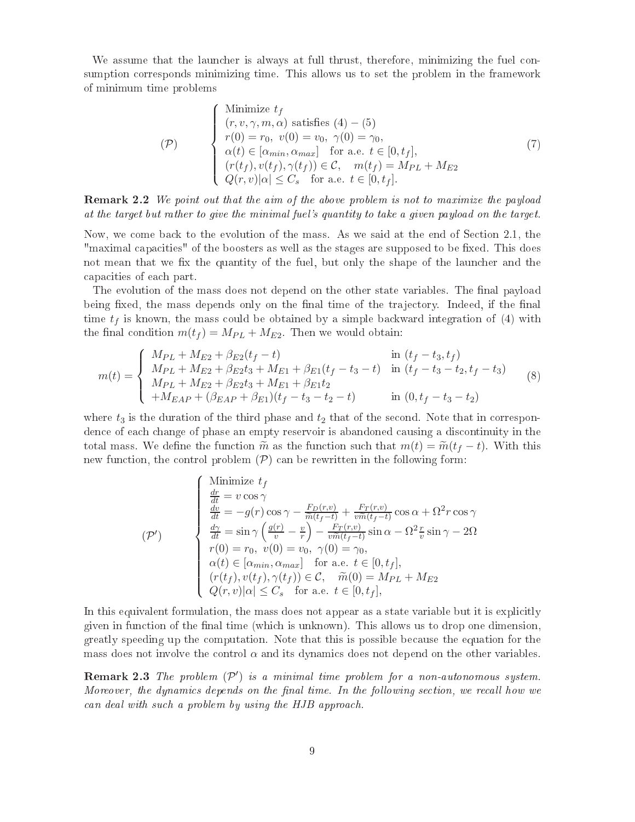We assume that the launcher is always at full thrust, therefore, minimizing the fuel consumption orresponds minimizing time. This allows us to set the problem in the framework of minimum time problems

$$
\begin{cases}\n\text{Minimize } t_f \\
(r, v, \gamma, m, \alpha) \text{ satisfies } (4) - (5) \\
r(0) = r_0, \ v(0) = v_0, \ \gamma(0) = \gamma_0, \\
\alpha(t) \in [\alpha_{min}, \alpha_{max}] \quad \text{for a.e. } t \in [0, t_f], \\
(r(t_f), v(t_f), \gamma(t_f)) \in \mathcal{C}, \quad m(t_f) = M_{PL} + M_{E2} \\
Q(r, v) |\alpha| \le C_s \quad \text{for a.e. } t \in [0, t_f].\n\end{cases} (7)
$$

Remark 2.2 We point out that the aim of the above problem is not to maximize the payload at the target but rather to give the minimal fuel's quantity to take a given payload on the target.

Now, we come back to the evolution of the mass. As we said at the end of Section 2.1, the "maximal capacities" of the boosters as well as the stages are supposed to be fixed. This does not mean that we fix the quantity of the fuel, but only the shape of the launcher and the apa
ities of ea
h part.

The evolution of the mass does not depend on the other state variables. The final payload being fixed, the mass depends only on the final time of the trajectory. Indeed, if the final time  $t_f$  is known, the mass could be obtained by a simple backward integration of (4) with the final condition  $m(t_f) = M_{PL} + M_{E2}$ . Then we would obtain:

$$
m(t) = \begin{cases} M_{PL} + M_{E2} + \beta_{E2}(t_f - t) & \text{in } (t_f - t_3, t_f) \\ M_{PL} + M_{E2} + \beta_{E2}t_3 + M_{E1} + \beta_{E1}(t_f - t_3 - t) & \text{in } (t_f - t_3 - t_2, t_f - t_3) \\ M_{PL} + M_{E2} + \beta_{E2}t_3 + M_{E1} + \beta_{E1}t_2 & \text{in } (0, t_f - t_3 - t_2) \\ + M_{EAP} + (\beta_{EAP} + \beta_{E1})(t_f - t_3 - t_2 - t) & \text{in } (0, t_f - t_3 - t_2) \end{cases}
$$
(8)

where  $t_3$  is the duration of the third phase and  $t_2$  that of the second. Note that in correspondence of each change of phase an empty reservoir is abandoned causing a discontinuity in the total mass. We define the function  $\tilde{m}$  as the function such that  $m(t) = \tilde{m}(t_f - t)$ . With this new function, the control problem  $(\mathcal{P})$  can be rewritten in the following form:

$$
\begin{cases}\n\text{Minimize } t_f \\
\frac{dr}{dt} = v \cos \gamma \\
\frac{dv}{dt} = -g(r) \cos \gamma - \frac{F_D(r, v)}{\tilde{m}(t_f - t)} + \frac{F_T(r, v)}{v\tilde{m}(t_f - t)} \cos \alpha + \Omega^2 r \cos \gamma \\
\frac{d\gamma}{dt} = \sin \gamma \left(\frac{g(r)}{v} - \frac{v}{r}\right) - \frac{F_T(r, v)}{v\tilde{m}(t_f - t)} \sin \alpha - \Omega^2 \frac{r}{v} \sin \gamma - 2\Omega \\
r(0) = r_0, \quad v(0) = v_0, \quad \gamma(0) = \gamma_0, \\
\alpha(t) \in [\alpha_{min}, \alpha_{max}] \quad \text{for a.e. } t \in [0, t_f], \\
(r(t_f), v(t_f), \gamma(t_f)) \in \mathcal{C}, \quad \tilde{m}(0) = M_{PL} + M_{E2} \\
Q(r, v) |\alpha| \le C_s \quad \text{for a.e. } t \in [0, t_f],\n\end{cases}
$$

In this equivalent formulation, the mass does not appear as a state variable but it is explicitly given in function of the final time (which is unknown). This allows us to drop one dimension, greatly speeding up the omputation. Note that this is possible be
ause the equation for the mass does not involve the control  $\alpha$  and its dynamics does not depend on the other variables.

**Remark 2.3** The problem  $(\mathcal{P}')$  is a minimal time problem for a non-autonomous system. Moreover, the dynamics depends on the final time. In the following section, we recall how we an deal with su
h a problem by using the HJB approa
h.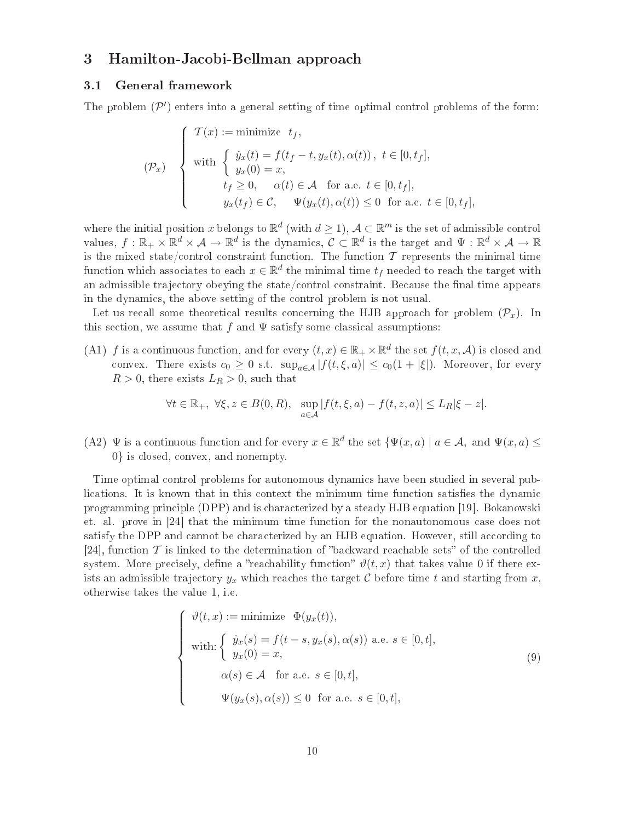## <sup>3</sup> Hamilton-Ja
obi-Bellman approa
h

## 3.1 General framework

The problem  $(\mathcal{P}')$  enters into a general setting of time optimal control problems of the form:

$$
(\mathcal{P}_x) \quad \begin{cases} \mathcal{T}(x) := \text{minimize } t_f, \\ \text{with } \begin{cases} \dot{y}_x(t) = f(t_f - t, y_x(t), \alpha(t)), \ t \in [0, t_f], \\ y_x(0) = x, \\ \quad t_f \ge 0, \quad \alpha(t) \in \mathcal{A} \quad \text{for a.e. } t \in [0, t_f], \\ y_x(t_f) \in \mathcal{C}, \quad \Psi(y_x(t), \alpha(t)) \le 0 \quad \text{for a.e. } t \in [0, t_f], \end{cases} \end{cases}
$$

where the initial position x belongs to  $\mathbb{R}^d$  (with  $d\geq 1$ ),  $\mathcal{A}\subset\mathbb{R}^m$  is the set of admissible control values,  $f: \mathbb{R}_+ \times \mathbb{R}^d \times \mathcal{A} \to \mathbb{R}^d$  is the dynamics,  $\mathcal{C} \subset \mathbb{R}^d$  is the target and  $\Psi: \mathbb{R}^d \times \mathcal{A} \to \mathbb{R}$ is the mixed state/control constraint function. The function  $\mathcal T$  represents the minimal time function which associates to each  $x \in \mathbb{R}^d$  the minimal time  $t_f$  needed to reach the target with an admissible trajectory obeying the state/control constraint. Because the final time appears in the dynami
s, the above setting of the ontrol problem is not usual.

Let us recall some theoretical results concerning the HJB approach for problem  $(\mathcal{P}_x)$ . In this section, we assume that f and  $\Psi$  satisfy some classical assumptions:

(A1) f is a continuous function, and for every  $(t, x) \in \mathbb{R}_+ \times \mathbb{R}^d$  the set  $f(t, x, \mathcal{A})$  is closed and convex. There exists  $c_0 \geq 0$  s.t.  $\sup_{a \in A} |f(t, \xi, a)| \leq c_0(1 + |\xi|)$ . Moreover, for every  $R > 0$ , there exists  $L_R > 0$ , such that

$$
\forall t \in \mathbb{R}_+, \ \forall \xi, z \in B(0, R), \ \sup_{a \in \mathcal{A}} |f(t, \xi, a) - f(t, z, a)| \leq L_R |\xi - z|.
$$

(A2)  $\Psi$  is a continuous function and for every  $x \in \mathbb{R}^d$  the set  $\{\Psi(x, a) \mid a \in \mathcal{A}$ , and  $\Psi(x, a) \leq \Psi(x, a)$ 0} is losed, onvex, and nonempty.

Time optimal ontrol problems for autonomous dynami
s have been studied in several publications. It is known that in this context the minimum time function satisfies the dynamic programming principle (DPP) and is characterized by a steady HJB equation [19]. Bokanowski et. al. prove in  $[24]$  that the minimum time function for the nonautonomous case does not satisfy the DPP and cannot be characterized by an HJB equation. However, still according to [24], function  $\mathcal T$  is linked to the determination of "backward reachable sets" of the controlled system. More precisely, define a "reachability function"  $\vartheta(t,x)$  that takes value 0 if there exists an admissible trajectory  $y_x$  which reaches the target C before time t and starting from x, otherwise takes the value 1, i.e.

$$
\begin{cases}\n\vartheta(t,x) := \text{minimize } \Phi(y_x(t)), \\
\text{with: } \begin{cases}\n\dot{y}_x(s) = f(t-s, y_x(s), \alpha(s)) \text{ a.e. } s \in [0, t], \\
y_x(0) = x, \end{cases} \\
\alpha(s) \in \mathcal{A} \text{ for a.e. } s \in [0, t], \\
\Psi(y_x(s), \alpha(s)) \le 0 \text{ for a.e. } s \in [0, t],\n\end{cases}
$$
\n(9)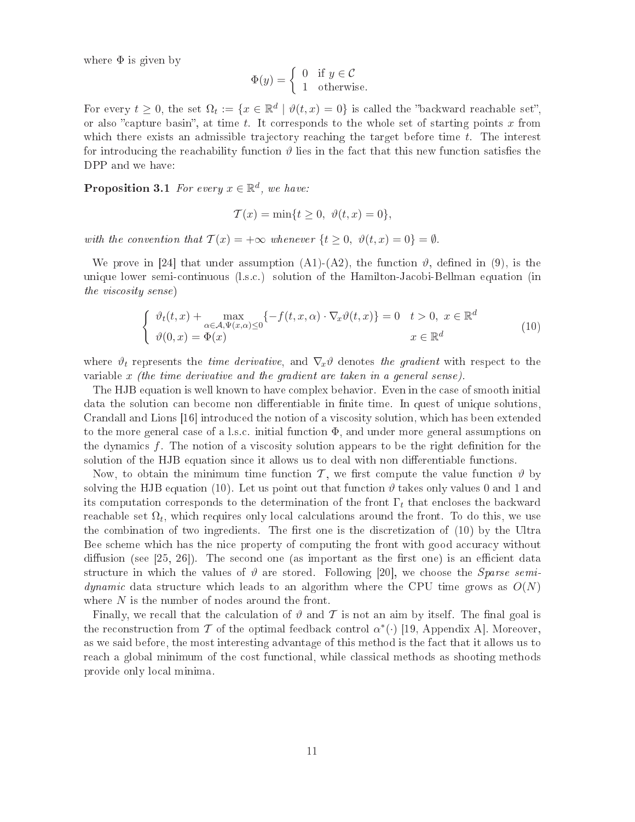where  $\Phi$  is given by

$$
\Phi(y) = \begin{cases} 0 & \text{if } y \in \mathcal{C} \\ 1 & \text{otherwise.} \end{cases}
$$

For every  $t \geq 0$ , the set  $\Omega_t := \{x \in \mathbb{R}^d \mid \vartheta(t,x) = 0\}$  is called the "backward reachable set", or also "capture basin", at time t. It corresponds to the whole set of starting points x from which there exists an admissible trajectory reaching the target before time  $t$ . The interest for introducing the reachability function  $\vartheta$  lies in the fact that this new function satisfies the DPP and we have:

**Proposition 3.1** For every  $x \in \mathbb{R}^d$ , we have:

$$
\mathcal{T}(x) = \min\{t \ge 0, \ \vartheta(t, x) = 0\},\
$$

with the convention that  $\mathcal{T}(x) = +\infty$  whenever  $\{t \geq 0, \ \vartheta(t,x) = 0\} = \emptyset$ .

We prove in [24] that under assumption (A1)-(A2), the function  $\vartheta$ , defined in (9), is the unique lower semiontinuous (l.s.
.) solution of the Hamilton-Ja
obi-Bellman equation (in the vis
osity sense)

$$
\begin{cases} \n\vartheta_t(t,x) + \max_{\alpha \in \mathcal{A}, \Psi(x,\alpha) \le 0} \{-f(t,x,\alpha) \cdot \nabla_x \vartheta(t,x)\} = 0 & t > 0, \ x \in \mathbb{R}^d \\ \n\vartheta(0,x) = \Phi(x) & x \in \mathbb{R}^d \n\end{cases} \tag{10}
$$

where  $\vartheta_t$  represents the *time derivative*, and  $\nabla_x \vartheta$  denotes the gradient with respect to the variable  $x$  (the time derivative and the gradient are taken in a general sense).

The HJB equation is well known to have complex behavior. Even in the case of smooth initial data the solution can become non differentiable in finite time. In quest of unique solutions, Crandall and Lions [16] introduced the notion of a viscosity solution, which has been extended to the more general case of a l.s.c. initial function  $\Phi$ , and under more general assumptions on the dynamics f. The notion of a viscosity solution appears to be the right definition for the solution of the HJB equation since it allows us to deal with non differentiable functions.

Now, to obtain the minimum time function T, we first compute the value function  $\vartheta$  by solving the HJB equation (10). Let us point out that function  $\vartheta$  takes only values 0 and 1 and its computation corresponds to the determination of the front  $\Gamma_t$  that encloses the backward reachable set  $\Omega_t$ , which requires only local calculations around the front. To do this, we use the combination of two ingredients. The first one is the discretization of  $(10)$  by the Ultra Bee scheme which has the nice property of computing the front with good accuracy without diffusion (see  $[25, 26]$ ). The second one (as important as the first one) is an efficient data structure in which the values of  $\vartheta$  are stored. Following [20], we choose the *Sparse semi*dynamic data structure which leads to an algorithm where the CPU time grows as  $O(N)$ where  $N$  is the number of nodes around the front.

Finally, we recall that the calculation of  $\vartheta$  and  $\tau$  is not an aim by itself. The final goal is the reconstruction from T of the optimal feedback control  $\alpha^*(\cdot)$  [19, Appendix A]. Moreover, as we said before, the most interesting advantage of this method is the fact that it allows us to rea
h a global minimum of the ost fun
tional, while lassi
al methods as shooting methods provide only lo
al minima.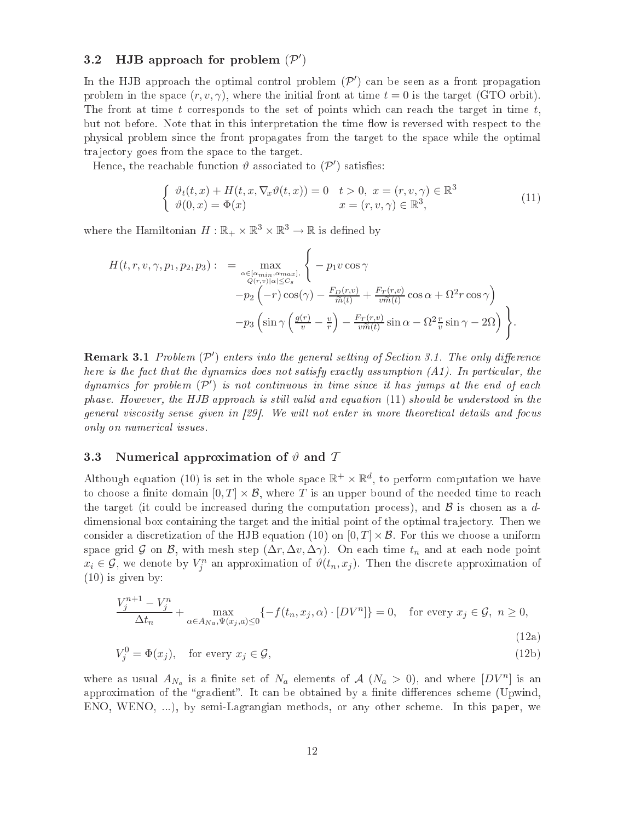# 3.2 HJB approach for problem  $(\mathcal{P}')$

In the HJB approach the optimal control problem  $(\mathcal{P}')$  can be seen as a front propagation problem in the space  $(r, v, \gamma)$ , where the initial front at time  $t = 0$  is the target (GTO orbit). The front at time t corresponds to the set of points which can reach the target in time t, but not before. Note that in this interpretation the time flow is reversed with respect to the physi
al problem sin
e the front propagates from the target to the spa
e while the optimal trajectory goes from the space to the target.

Hence, the reachable function  $\vartheta$  associated to  $(\mathcal{P}')$  satisfies:

$$
\begin{cases}\n\vartheta_t(t,x) + H(t,x,\nabla_x \vartheta(t,x)) = 0 & t > 0, \ x = (r,v,\gamma) \in \mathbb{R}^3 \\
\vartheta(0,x) = \Phi(x) & x = (r,v,\gamma) \in \mathbb{R}^3,\n\end{cases}
$$
\n(11)

where the Hamiltonian  $H: \mathbb{R}_+ \times \mathbb{R}^3 \times \mathbb{R}^3 \to \mathbb{R}$  is defined by

$$
H(t, r, v, \gamma, p_1, p_2, p_3) : = \max_{\substack{\alpha \in [\alpha_{min}, \alpha_{max}] \\ Q(r, v) | \alpha| \leq C_s}} \left\{ -p_1 v \cos \gamma - p_2 \left( -r \right) \cos(\gamma) - \frac{F_D(r, v)}{\tilde{m}(t)} + \frac{F_T(r, v)}{v \tilde{m}(t)} \cos \alpha + \Omega^2 r \cos \gamma \right\}
$$

$$
-p_3 \left( \sin \gamma \left( \frac{g(r)}{v} - \frac{v}{r} \right) - \frac{F_T(r, v)}{v \tilde{m}(t)} \sin \alpha - \Omega^2 \frac{r}{v} \sin \gamma - 2\Omega \right) \right\}.
$$

**Remark 3.1** Problem  $(\mathcal{P}')$  enters into the general setting of Section 3.1. The only difference here is the fact that the dynamics does not satisfy exactly assumption  $(A1)$ . In particular, the dynamics for problem  $(\mathcal{P}')$  is not continuous in time since it has jumps at the end of each phase. However, the HJB approach is still valid and equation (11) should be understood in the qeneral viscosity sense qiven in  $(29)$ . We will not enter in more theoretical details and focus only on numeri
al issues.

## 3.3 Numerical approximation of  $\vartheta$  and  $\tau$

Although equation (10) is set in the whole space  $\mathbb{R}^+ \times \mathbb{R}^d$ , to perform computation we have to choose a finite domain  $[0, T] \times \mathcal{B}$ , where T is an upper bound of the needed time to reach the target (it could be increased during the computation process), and  $\beta$  is chosen as a ddimensional box containing the target and the initial point of the optimal trajectory. Then we consider a discretization of the HJB equation (10) on  $[0, T] \times \mathcal{B}$ . For this we choose a uniform space grid G on B, with mesh step  $(\Delta r, \Delta v, \Delta \gamma)$ . On each time  $t_n$  and at each node point  $x_i \in \mathcal{G}$ , we denote by  $V_j^n$  an approximation of  $\vartheta(t_n, x_j)$ . Then the discrete approximation of (10) is given by:

$$
\frac{V_j^{n+1} - V_j^n}{\Delta t_n} + \max_{\alpha \in A_{Na}, \Psi(x_j, a) \le 0} \{-f(t_n, x_j, \alpha) \cdot [DV^n] \} = 0, \quad \text{for every } x_j \in \mathcal{G}, n \ge 0,
$$
\n(12a)

$$
V_j^0 = \Phi(x_j), \quad \text{for every } x_j \in \mathcal{G}, \tag{12b}
$$

where as usual  $A_{N_a}$  is a finite set of  $N_a$  elements of  $\mathcal{A}$   $(N_a > 0)$ , and where  $[DV^n]$  is an approximation of the "gradient". It can be obtained by a finite differences scheme (Upwind, ENO, WENO, ...), by semi-Lagrangian methods, or any other scheme. In this paper, we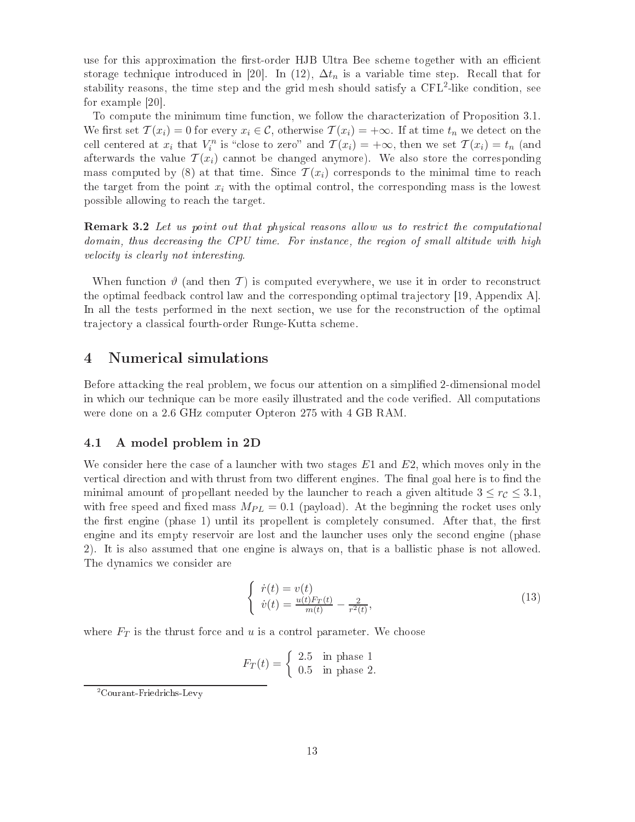use for this approximation the first-order HJB Ultra Bee scheme together with an efficient storage technique introduced in [20]. In (12),  $\Delta t_n$  is a variable time step. Recall that for stability reasons, the time step and the grid mesh should satisfy a CFL<sup>-</sup>-like condition, see for example  $[20]$ .

To compute the minimum time function, we follow the characterization of Proposition 3.1. We first set  $\mathcal{T}(x_i) = 0$  for every  $x_i \in \mathcal{C}$ , otherwise  $\mathcal{T}(x_i) = +\infty$ . If at time  $t_n$  we detect on the cell centered at  $x_i$  that  $V_i^n$  is "close to zero" and  $\mathcal{T}(x_i) = +\infty$ , then we set  $\mathcal{T}(x_i) = t_n$  (and afterwards the value  $\mathcal{T}(x_i)$  cannot be changed anymore). We also store the corresponding mass computed by (8) at that time. Since  $\mathcal{T}(x_i)$  corresponds to the minimal time to reach the target from the point  $x_i$  with the optimal control, the corresponding mass is the lowest possible allowing to rea
h the target.

Remark 3.2 Let us point out that physi
al reasons al low us to restri
t the omputational domain, thus decreasing the CPU time. For instance, the region of small altitude with high velocity is clearly not interesting.

When function  $\vartheta$  (and then T) is computed everywhere, we use it in order to reconstruct the optimal feedback control law and the corresponding optimal trajectory [19, Appendix A]. In all the tests performed in the next section, we use for the reconstruction of the optimal trajectory a classical fourth-order Runge-Kutta scheme.

# <sup>4</sup> Numeri
al simulations

Before attacking the real problem, we focus our attention on a simplified 2-dimensional model in which our technique can be more easily illustrated and the code verified. All computations were done on a 2.6 GHz computer Opteron 275 with 4 GB RAM.

## 4.1 A model problem in 2D

We consider here the case of a launcher with two stages  $E1$  and  $E2$ , which moves only in the vertical direction and with thrust from two different engines. The final goal here is to find the minimal amount of propellant needed by the launcher to reach a given altitude  $3 \leq r_c \leq 3.1$ , with free speed and fixed mass  $M_{PL} = 0.1$  (payload). At the beginning the rocket uses only the first engine (phase 1) until its propellent is completely consumed. After that, the first engine and its empty reservoir are lost and the laun
her uses only the se
ond engine (phase 2). It is also assumed that one engine is always on, that is a ballisti phase is not allowed. The dynami
s we onsider are

$$
\begin{cases} \dot{r}(t) = v(t) \\ \dot{v}(t) = \frac{u(t)F_T(t)}{m(t)} - \frac{2}{r^2(t)}, \end{cases}
$$
\n(13)

where  $F_T$  is the thrust force and u is a control parameter. We choose

$$
F_T(t) = \begin{cases} 2.5 & \text{in phase 1} \\ 0.5 & \text{in phase 2.} \end{cases}
$$

<sup>-</sup>Courant-Friedrichs-Levy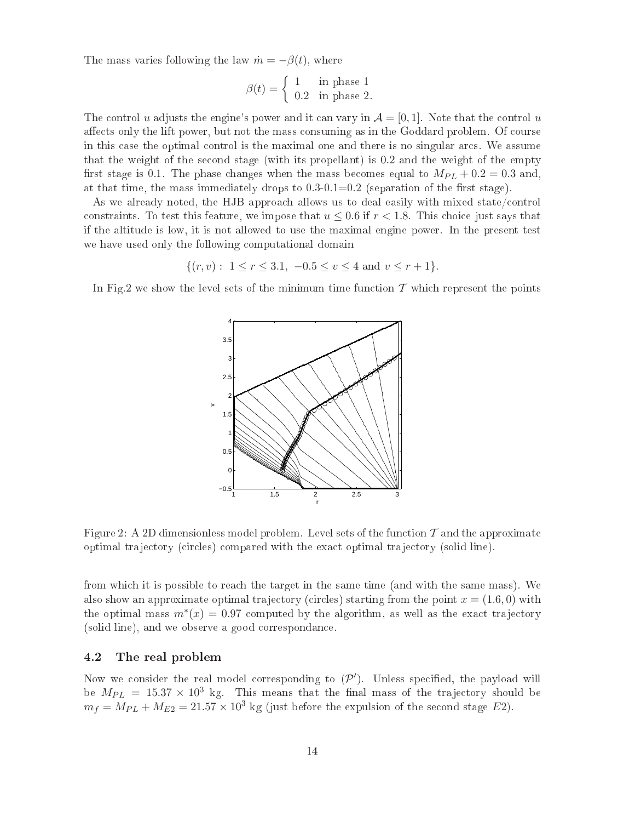The mass varies following the law  $\dot{m} = -\beta(t)$ , where

$$
\beta(t) = \begin{cases} 1 & \text{in phase 1} \\ 0.2 & \text{in phase 2.} \end{cases}
$$

The control u adjusts the engine's power and it can vary in  $\mathcal{A} = [0, 1]$ . Note that the control u affects only the lift power, but not the mass consuming as in the Goddard problem. Of course in this case the optimal control is the maximal one and there is no singular arcs. We assume that the weight of the se
ond stage (with its propellant) is 0.2 and the weight of the empty first stage is 0.1. The phase changes when the mass becomes equal to  $M_{PL} + 0.2 = 0.3$  and. at that time, the mass immediately drops to  $0.3{\text -}0.1{=}0.2$  (separation of the first stage).

As we already noted, the HJB approach allows us to deal easily with mixed state/control constraints. To test this feature, we impose that  $u \leq 0.6$  if  $r \leq 1.8$ . This choice just says that if the altitude is low, it is not allowed to use the maximal engine power. In the present test we have used only the following computational domain

 $\{(r, v): 1 \le r \le 3.1, -0.5 \le v \le 4 \text{ and } v \le r+1\}.$ 

In Fig.2 we show the level sets of the minimum time function  $\mathcal T$  which represent the points



Figure 2: A 2D dimensionless model problem. Level sets of the function  $\mathcal T$  and the approximate optimal tra je
tory (
ir
les) ompared with the exa
t optimal tra je
tory (solid line).

from whi
h it is possible to rea
h the target in the same time (and with the same mass). We also show an approximate optimal trajectory (circles) starting from the point  $x = (1.6, 0)$  with the optimal mass  $m^*(x) = 0.97$  computed by the algorithm, as well as the exact trajectory (solid line), and we observe a good orrespondan
e.

#### 4.2 The real problem

Now we consider the real model corresponding to  $(\mathcal{P}')$ . Unless specified, the payload will be  $M_{PL} = 15.37 \times 10^3$  kg. This means that the final mass of the trajectory should be  $m_f = M_{PL} + M_{E2} = 21.57 \times 10^3$  kg (just before the expulsion of the second stage E2).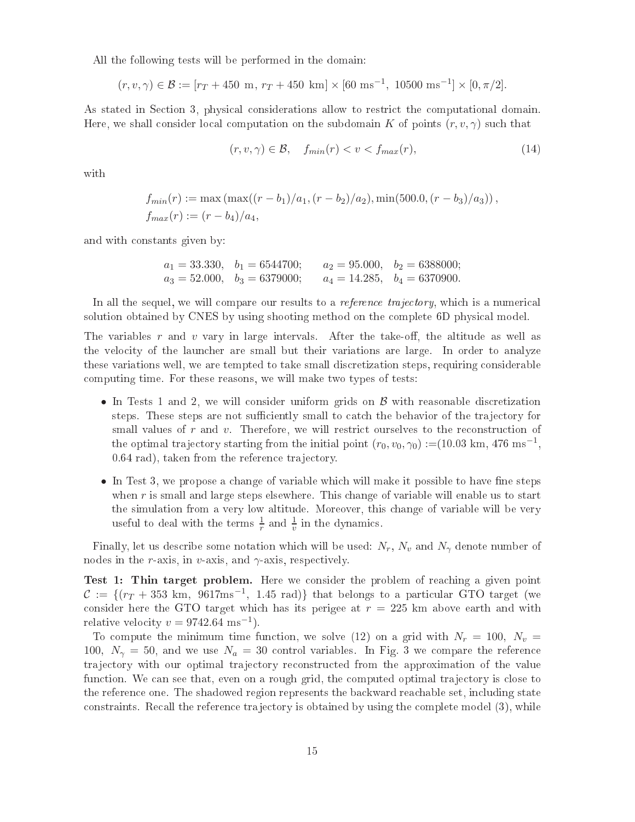All the following tests will be performed in the domain:

$$
(r, v, \gamma) \in \mathcal{B} := [r_T + 450 \text{ m}, r_T + 450 \text{ km}] \times [60 \text{ ms}^{-1}, 10500 \text{ ms}^{-1}] \times [0, \pi/2].
$$

As stated in Section 3, physical considerations allow to restrict the computational domain. Here, we shall consider local computation on the subdomain K of points  $(r, v, \gamma)$  such that

$$
(r, v, \gamma) \in \mathcal{B}, \quad f_{min}(r) < v < f_{max}(r), \tag{14}
$$

with

$$
f_{min}(r) := \max(\max((r - b_1)/a_1, (r - b_2)/a_2), \min(500.0, (r - b_3)/a_3)),
$$
  

$$
f_{max}(r) := (r - b_4)/a_4,
$$

and with onstants given by:

$$
a_1 = 33.330
$$
,  $b_1 = 6544700$ ;  $a_2 = 95.000$ ,  $b_2 = 6388000$ ;  
\n $a_3 = 52.000$ ,  $b_3 = 6379000$ ;  $a_4 = 14.285$ ,  $b_4 = 6370900$ .

In all the sequel, we will compare our results to a *reference trajectory*, which is a numerical solution obtained by CNES by using shooting method on the complete 6D physical model.

The variables r and v vary in large intervals. After the take-off, the altitude as well as the velo
ity of the laun
her are small but their variations are large. In order to analyze these variations well, we are tempted to take small discretization steps, requiring considerable omputing time. For these reasons, we will make two types of tests:

- In Tests 1 and 2, we will consider uniform grids on  $\beta$  with reasonable discretization steps. These steps are not sufficiently small to catch the behavior of the trajectory for small values of  $r$  and  $v$ . Therefore, we will restrict ourselves to the reconstruction of the optimal trajectory starting from the initial point  $(r_0, v_0, \gamma_0) := (10.03 \text{ km}, 476 \text{ ms}^{-1},$ 0.64 rad), taken from the reference trajectory.
- In Test 3, we propose a change of variable which will make it possible to have fine steps when r is small and large steps elsewhere. This change of variable will enable us to start the simulation from a very low altitude. Moreover, this hange of variable will be very useful to deal with the terms  $\frac{1}{r}$  and  $\frac{1}{v}$  in the dynamics.

Finally, let us describe some notation which will be used:  $N_r$ ,  $N_v$  and  $N_\gamma$  denote number of nodes in the *r*-axis, in *v*-axis, and  $\gamma$ -axis, respectively.

Test 1: Thin target problem. Here we onsider the problem of rea
hing a given point  $\mathcal{C} := \{(r_T + 353 \text{ km}, 9617 \text{ms}^{-1}, 1.45 \text{ rad})\}$  that belongs to a particular GTO target (we consider here the GTO target which has its perigee at  $r = 225$  km above earth and with relative velocity  $v = 9742.64 \text{ ms}^{-1}$ .

To compute the minimum time function, we solve (12) on a grid with  $N_r = 100$ ,  $N_v =$ 100,  $N_{\gamma} = 50$ , and we use  $N_a = 30$  control variables. In Fig. 3 we compare the reference trajectory with our optimal trajectory reconstructed from the approximation of the value function. We can see that, even on a rough grid, the computed optimal trajectory is close to the reference one. The shadowed region represents the backward reachable set, including state constraints. Recall the reference trajectory is obtained by using the complete model (3), while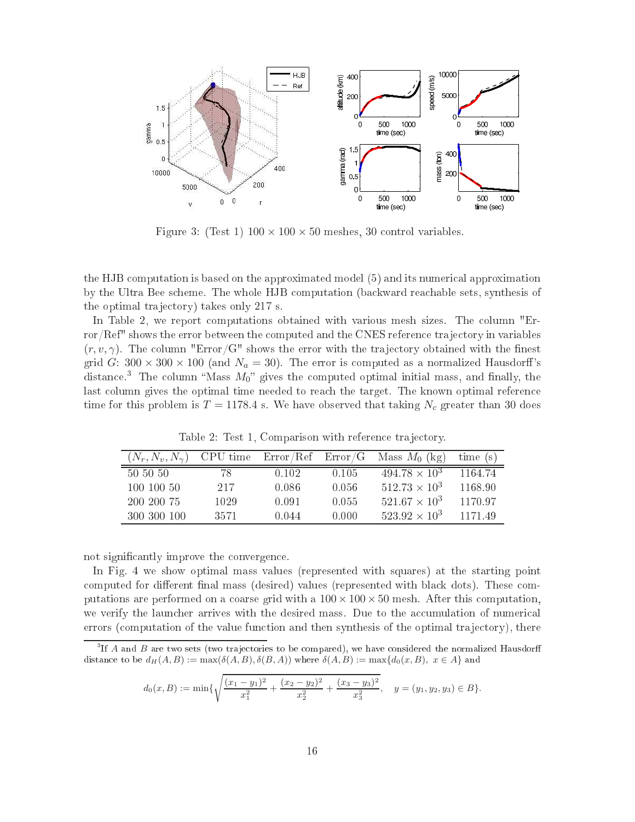

Figure 3: (Test 1)  $100 \times 100 \times 50$  meshes, 30 control variables.

the HJB omputation is based on the approximated model (5) and its numeri
al approximation by the Ultra Bee s
heme. The whole HJB omputation (ba
kward rea
hable sets, synthesis of the optimal trajectory) takes only 217 s.

In Table 2, we report computations obtained with various mesh sizes. The column "Error/Ref" shows the error between the computed and the CNES reference trajectory in variables  $(r, v, \gamma)$ . The column "Error/G" shows the error with the trajectory obtained with the finest grid G:  $300 \times 300 \times 100$  (and  $N_a = 30$ ). The error is computed as a normalized Hausdorff's distance.<sup>3</sup> The column "Mass  $M_0$ " gives the computed optimal initial mass, and finally, the last column gives the optimal time needed to reach the target. The known optimal reference time for this problem is  $T = 1178.4$  s. We have observed that taking  $N_c$  greater than 30 does

Table 2: Test 1, Comparison with reference trajectory.

| $(N_r, N_v, N_\gamma)$ |      |       |       | CPU time $Error/Ref$ $Error/G$ Mass $M_0$ (kg) | time(s) |
|------------------------|------|-------|-------|------------------------------------------------|---------|
| 50 50 50               | 78   | 0.102 | 0.105 | $494.78 \times 10^3$                           | 1164.74 |
| 100 100 50             | 217  | 0.086 | 0.056 | $512.73 \times 10^3$                           | 1168.90 |
| 200 200 75             | 1029 | 0.091 | 0.055 | $521.67 \times 10^3$                           | 1170.97 |
| 300 300 100            | 3571 | 0.044 | 0.000 | $523.92 \times 10^3$                           | 117149  |

not significantly improve the convergence.

In Fig. 4 we show optimal mass values (represented with squares) at the starting point computed for different final mass (desired) values (represented with black dots). These computations are performed on a coarse grid with a  $100 \times 100 \times 50$  mesh. After this computation, we verify the launcher arrives with the desired mass. Due to the accumulation of numerical errors (computation of the value function and then synthesis of the optimal trajectory), there

 ${}^{3}$ If A and B are two sets (two trajectories to be compared), we have considered the normalized Hausdorff distance to be  $d_H(A, B) := \max(\delta(A, B), \delta(B, A))$  where  $\delta(A, B) := \max\{d_0(x, B), x \in A\}$  and

$$
d_0(x, B) := \min\{\sqrt{\frac{(x_1 - y_1)^2}{x_1^2} + \frac{(x_2 - y_2)^2}{x_2^2} + \frac{(x_3 - y_3)^2}{x_3^2}}, \quad y = (y_1, y_2, y_3) \in B\}.
$$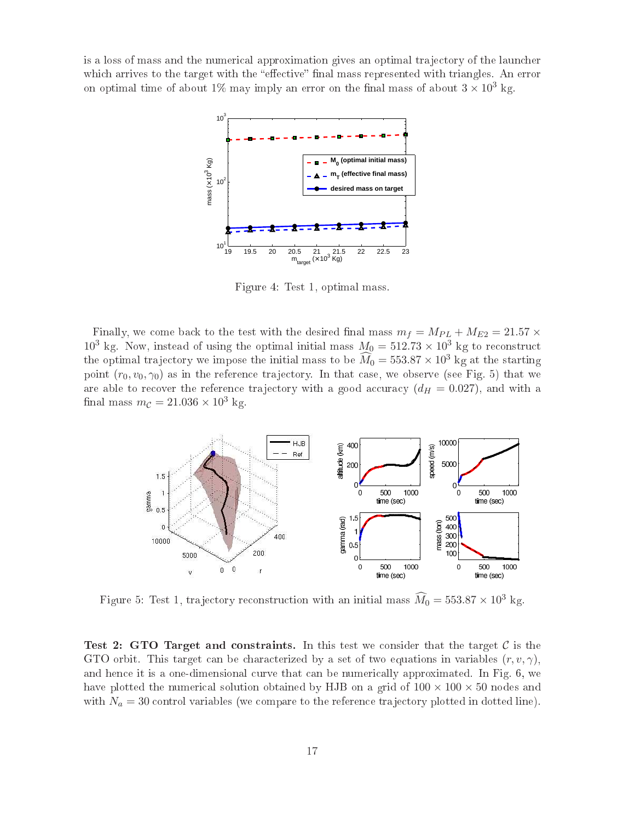is a loss of mass and the numerical approximation gives an optimal trajectory of the launcher which arrives to the target with the "effective" final mass represented with triangles. An error on optimal time of about 1% may imply an error on the final mass of about  $3 \times 10^3$  kg.



Figure 4: Test 1, optimal mass.

Finally, we come back to the test with the desired final mass  $m_f = M_{PL} + M_{E2} = 21.57 \times$  $10^3$  kg. Now, instead of using the optimal initial mass  $M_0 = 512.73 \times 10^3$  kg to reconstruct the optimal trajectory we impose the initial mass to be  $\widehat{M}_0 = 553.87 \times 10^3$  kg at the starting point  $(r_0, v_0, \gamma_0)$  as in the reference trajectory. In that case, we observe (see Fig. 5) that we are able to recover the reference trajectory with a good accuracy  $(d_H = 0.027)$ , and with a final mass  $m_{\mathcal{C}} = 21.036 \times 10^3$  kg.



Figure 5: Test 1, trajectory reconstruction with an initial mass  $\widehat{M}_0 = 553.87 \times 10^3$  kg.

Test 2: GTO Target and constraints. In this test we consider that the target  $\cal C$  is the GTO orbit. This target can be characterized by a set of two equations in variables  $(r, v, \gamma)$ , and hence it is a one-dimensional curve that can be numerically approximated. In Fig. 6, we have plotted the numerical solution obtained by HJB on a grid of  $100 \times 100 \times 50$  nodes and with  $N_a = 30$  control variables (we compare to the reference trajectory plotted in dotted line).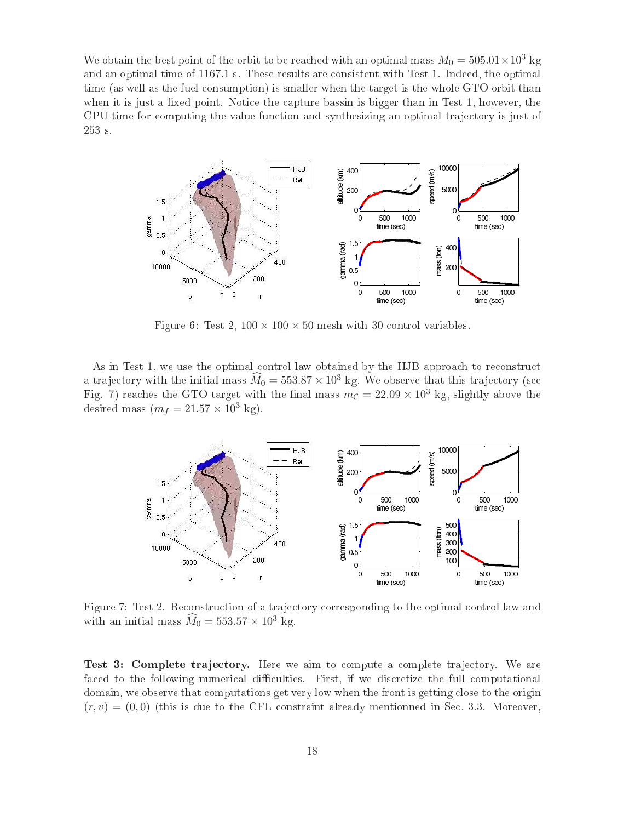We obtain the best point of the orbit to be reached with an optimal mass  $M_0 = 505.01 \times 10^3$  kg and an optimal time of 1167.1 s. These results are onsistent with Test 1. Indeed, the optimal time (as well as the fuel onsumption) is smaller when the target is the whole GTO orbit than when it is just a fixed point. Notice the capture bassin is bigger than in Test 1, however, the CPU time for computing the value function and synthesizing an optimal trajectory is just of 253 s.



Figure 6: Test 2,  $100 \times 100 \times 50$  mesh with 30 control variables.

As in Test 1, we use the optimal control law obtained by the HJB approach to reconstruct a trajectory with the initial mass  $\widehat{M}_0 = 553.87 \times 10^3$  kg. We observe that this trajectory (see Fig. 7) reaches the GTO target with the final mass  $m_c = 22.09 \times 10^3$  kg, slightly above the desired mass  $(m_f = 21.57 \times 10^3 \text{ kg}).$ 



Figure 7: Test 2. Reconstruction of a trajectory corresponding to the optimal control law and with an initial mass  $\widehat{M}_0 = 553.57 \times 10^3$  kg.

Test 3: Complete tra je
tory. Here we aim to ompute a omplete tra je
tory. We are faced to the following numerical difficulties. First, if we discretize the full computational domain, we observe that computations get very low when the front is getting close to the origin  $(r, v) = (0, 0)$  (this is due to the CFL constraint already mentionned in Sec. 3.3. Moreover,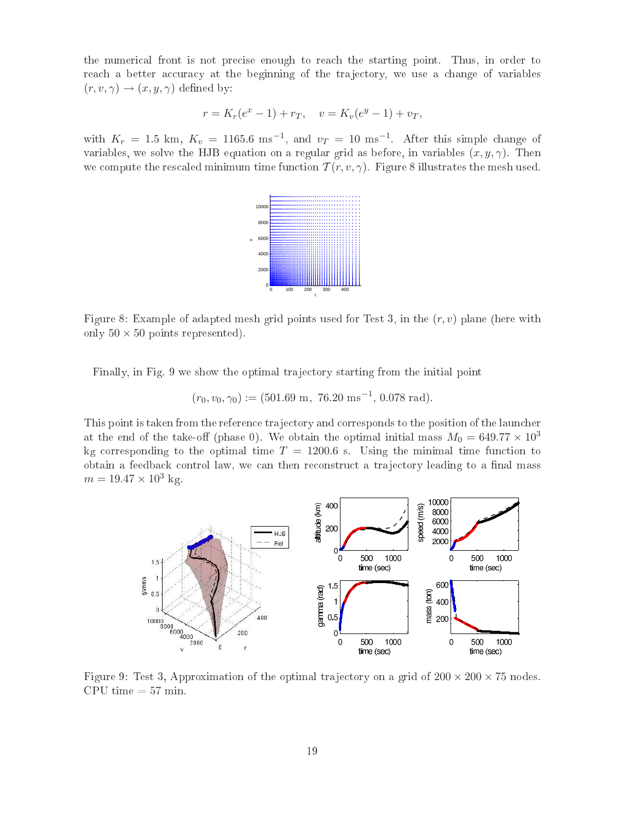the numeri
al front is not pre
ise enough to rea
h the starting point. Thus, in order to reach a better accuracy at the beginning of the trajectory, we use a change of variables  $(r, v, \gamma) \rightarrow (x, y, \gamma)$  defined by:

$$
r = K_r(e^x - 1) + r_T, \quad v = K_v(e^y - 1) + v_T,
$$

with  $K_r = 1.5$  km,  $K_v = 1165.6$  ms<sup>-1</sup>, and  $v_T = 10$  ms<sup>-1</sup>. After this simple change of variables, we solve the HJB equation on a regular grid as before, in variables  $(x, y, \gamma)$ . Then we compute the rescaled minimum time function  $\mathcal{T}(r, v, \gamma)$ . Figure 8 illustrates the mesh used.



Figure 8: Example of adapted mesh grid points used for Test 3, in the  $(r, v)$  plane (here with only  $50 \times 50$  points represented).

Finally, in Fig. 9 we show the optimal trajectory starting from the initial point

$$
(r_0, v_0, \gamma_0) := (501.69 \text{ m}, 76.20 \text{ ms}^{-1}, 0.078 \text{ rad}).
$$

This point is taken from the referen
e tra je
tory and orresponds to the position of the laun
her at the end of the take-off (phase 0). We obtain the optimal initial mass  $M_0 = 649.77 \times 10^3$ kg corresponding to the optimal time  $T = 1200.6$  s. Using the minimal time function to obtain a feedback control law, we can then reconstruct a trajectory leading to a final mass  $m = 19.47 \times 10^3$  kg.



Figure 9: Test 3, Approximation of the optimal trajectory on a grid of  $200 \times 200 \times 75$  nodes. CPU time  $= 57$  min.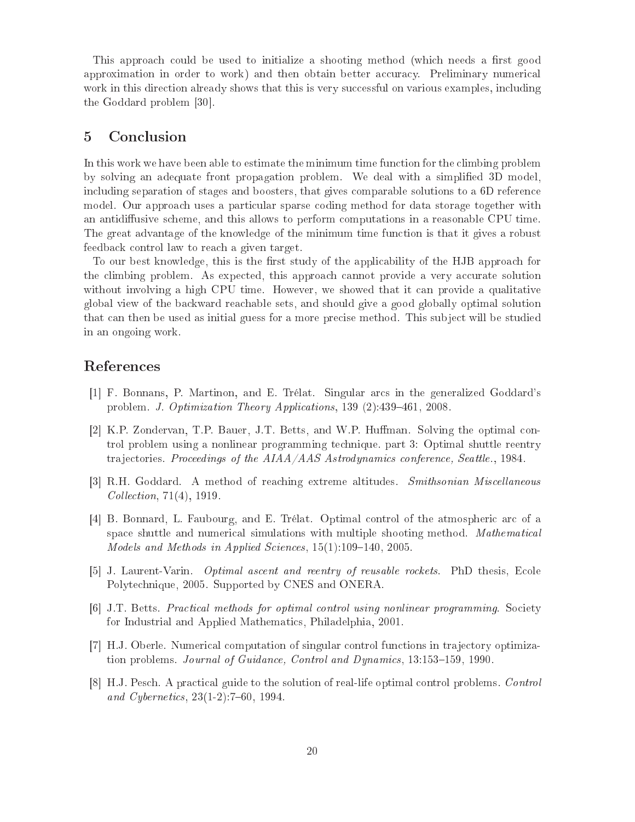This approach could be used to initialize a shooting method (which needs a first good approximation in order to work) and then obtain better accuracy. Preliminary numerical work in this direction already shows that this is very successful on various examples, including the Goddard problem  $[30]$ .

## <sup>5</sup> Con
lusion

In this work we have been able to estimate the minimum time function for the climbing problem by solving an adequate front propagation problem. We deal with a simplied 3D model, including separation of stages and boosters, that gives comparable solutions to a 6D reference model. Our approach uses a particular sparse coding method for data storage together with an antidiffusive scheme, and this allows to perform computations in a reasonable CPU time. The great advantage of the knowledge of the minimum time function is that it gives a robust feedba
k ontrol law to rea
h a given target.

To our best knowledge, this is the first study of the applicability of the HJB approach for the climbing problem. As expected, this approach cannot provide a very accurate solution without involving a high CPU time. However, we showed that it can provide a qualitative global view of the ba
kward rea
hable sets, and should give a good globally optimal solution that can then be used as initial guess for a more precise method. This subject will be studied in an ongoing work.

# Referen
es

- [1] F. Bonnans, P. Martinon, and E. Trélat. Singular arcs in the generalized Goddard's problem. *J. Optimization Theory Applications*, 139 (2):439-461, 2008.
- [2] K.P. Zondervan, T.P. Bauer, J.T. Betts, and W.P. Huffman. Solving the optimal control problem using a nonlinear programming te
hnique. part 3: Optimal shuttle reentry trajectories. Proceedings of the AIAA/AAS Astrodynamics conference, Seattle., 1984.
- [3] R.H. Goddard. A method of reaching extreme altitudes. Smithsonian Miscellaneous Collection, 71(4), 1919.
- [4] B. Bonnard, L. Faubourg, and E. Trélat. Optimal control of the atmospheric arc of a space shuttle and numerical simulations with multiple shooting method. Mathematical Models and Methods in Applied Sciences,  $15(1)$ :109-140, 2005.
- [5] J. Laurent-Varin. *Optimal ascent and reentry of reusable rockets*. PhD thesis, Ecole Polyte
hnique, 2005. Supported by CNES and ONERA.
- [6] J.T. Betts. *Practical methods for optimal control using nonlinear programming.* Society for Industrial and Applied Mathemati
s, Philadelphia, 2001.
- [7] H.J. Oberle. Numerical computation of singular control functions in trajectory optimization problems. *Journal of Guidance, Control and Dynamics*, 13:153–159, 1990.
- [8] H.J. Pesch. A practical guide to the solution of real-life optimal control problems. Control and Cybernetics, 23(1-2):7-60, 1994.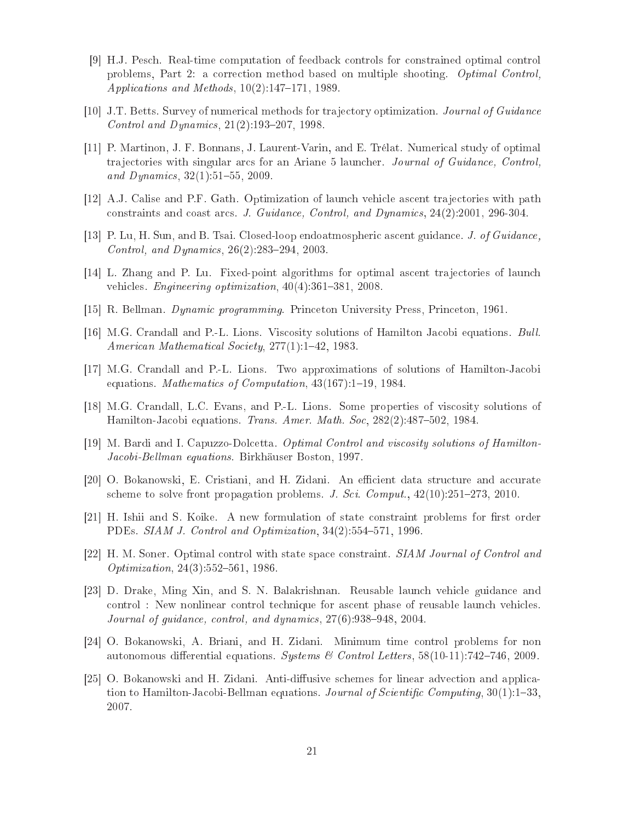- [9] H.J. Pesch. Real-time computation of feedback controls for constrained optimal control problems, Part 2: a correction method based on multiple shooting. *Optimal Control*, Applications and Methods,  $10(2)$ :147-171, 1989.
- [10] J.T. Betts. Survey of numerical methods for trajectory optimization. *Journal of Guidance* Control and Dynamics,  $21(2):193-207$ , 1998.
- [11] P. Martinon, J. F. Bonnans, J. Laurent-Varin, and E. Trélat. Numerical study of optimal trajectories with singular arcs for an Ariane 5 launcher. Journal of Guidance, Control, and Dynamics,  $32(1):51-55$ ,  $2009$ .
- [12] A.J. Calise and P.F. Gath. Optimization of launch vehicle ascent trajectories with path constraints and coast arcs. J. Guidance, Control, and Dynamics, 24(2):2001, 296-304.
- [13] P. Lu, H. Sun, and B. Tsai. Closed-loop endoatmospheric ascent guidance. J. of Guidance, Control, and Dynamics,  $26(2):283-294$ ,  $2003$ .
- [14] L. Zhang and P. Lu. Fixed-point algorithms for optimal ascent trajectories of launch vehicles. *Engineering optimization*,  $40(4)$ :  $361-381$ ,  $2008$ .
- [15] R. Bellman. *Dynamic programming*. Princeton University Press, Princeton, 1961.
- [16] M.G. Crandall and P.-L. Lions. Viscosity solutions of Hamilton Jacobi equations. Bull. American Mathematical Society, 277(1):1-42, 1983.
- [17] M.G. Crandall and P.-L. Lions. Two approximations of solutions of Hamilton-Jacobi equations. Mathematics of Computation,  $43(167):1-19$ , 1984.
- [18] M.G. Crandall, L.C. Evans, and P.-L. Lions. Some properties of viscosity solutions of Hamilton-Jacobi equations. Trans. Amer. Math. Soc. 282(2):487-502, 1984.
- [19] M. Bardi and I. Capuzzo-Dolcetta. *Optimal Control and viscosity solutions of Hamilton*-Jacobi-Bellman equations. Birkhäuser Boston, 1997.
- [20] O. Bokanowski, E. Cristiani, and H. Zidani. An efficient data structure and accurate scheme to solve front propagation problems. J. Sci. Comput.,  $42(10):251-273$ ,  $2010$ .
- [21] H. Ishii and S. Koike. A new formulation of state constraint problems for first order PDEs. SIAM J. Control and Optimization, 34(2):554-571, 1996.
- [22] H. M. Soner. Optimal control with state space constraint. SIAM Journal of Control and Optimization,  $24(3)$ :552-561, 1986.
- [23] D. Drake, Ming Xin, and S. N. Balakrishnan. Reusable launch vehicle guidance and ontrol : New nonlinear ontrol te
hnique for as
ent phase of reusable laun
h vehi
les. Journal of guidance, control, and dynamics,  $27(6)$ :938-948, 2004.
- [24] O. Bokanowski, A. Briani, and H. Zidani. Minimum time control problems for non autonomous differential equations. Systems & Control Letters,  $58(10-11):742-746, 2009$ .
- [25] O. Bokanowski and H. Zidani. Anti-diffusive schemes for linear advection and application to Hamilton-Jacobi-Bellman equations. Journal of Scientific Computing,  $30(1)$ : 1–33, 2007.